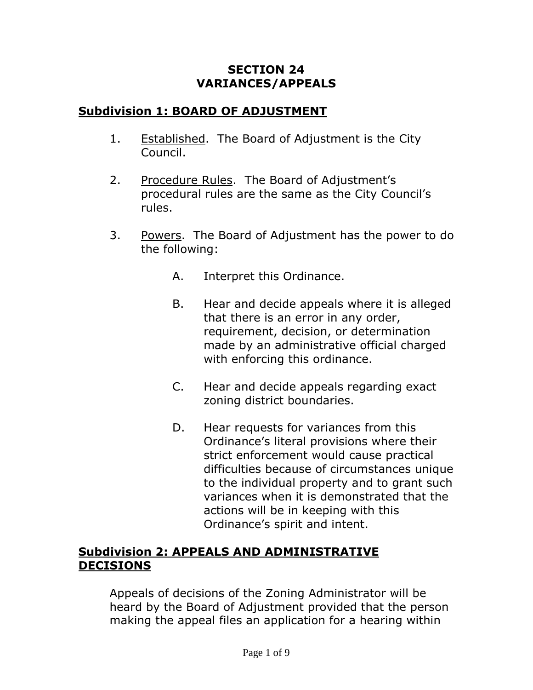#### **SECTION 24 VARIANCES/APPEALS**

## **Subdivision 1: BOARD OF ADJUSTMENT**

- 1. Established. The Board of Adjustment is the City Council.
- 2. Procedure Rules. The Board of Adjustment's procedural rules are the same as the City Council's rules.
- 3. Powers. The Board of Adjustment has the power to do the following:
	- A. Interpret this Ordinance.
	- B. Hear and decide appeals where it is alleged that there is an error in any order, requirement, decision, or determination made by an administrative official charged with enforcing this ordinance.
	- C. Hear and decide appeals regarding exact zoning district boundaries.
	- D. Hear requests for variances from this Ordinance's literal provisions where their strict enforcement would cause practical difficulties because of circumstances unique to the individual property and to grant such variances when it is demonstrated that the actions will be in keeping with this Ordinance's spirit and intent.

## **Subdivision 2: APPEALS AND ADMINISTRATIVE DECISIONS**

Appeals of decisions of the Zoning Administrator will be heard by the Board of Adjustment provided that the person making the appeal files an application for a hearing within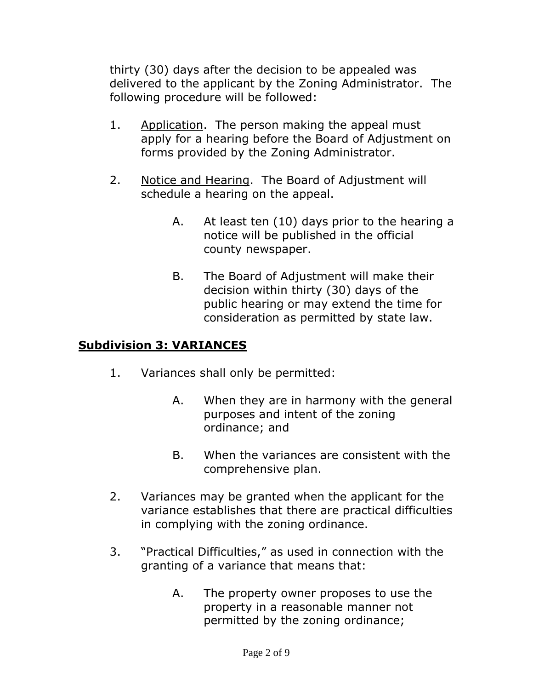thirty (30) days after the decision to be appealed was delivered to the applicant by the Zoning Administrator. The following procedure will be followed:

- 1. Application. The person making the appeal must apply for a hearing before the Board of Adjustment on forms provided by the Zoning Administrator.
- 2. Notice and Hearing. The Board of Adjustment will schedule a hearing on the appeal.
	- A. At least ten (10) days prior to the hearing a notice will be published in the official county newspaper.
	- B. The Board of Adjustment will make their decision within thirty (30) days of the public hearing or may extend the time for consideration as permitted by state law.

# **Subdivision 3: VARIANCES**

- 1. Variances shall only be permitted:
	- A. When they are in harmony with the general purposes and intent of the zoning ordinance; and
	- B. When the variances are consistent with the comprehensive plan.
- 2. Variances may be granted when the applicant for the variance establishes that there are practical difficulties in complying with the zoning ordinance.
- 3. "Practical Difficulties," as used in connection with the granting of a variance that means that:
	- A. The property owner proposes to use the property in a reasonable manner not permitted by the zoning ordinance;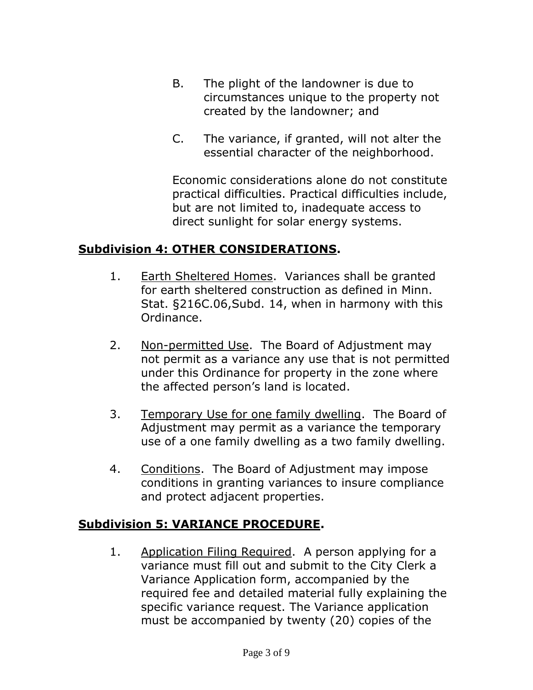- B. The plight of the landowner is due to circumstances unique to the property not created by the landowner; and
- C. The variance, if granted, will not alter the essential character of the neighborhood.

Economic considerations alone do not constitute practical difficulties. Practical difficulties include, but are not limited to, inadequate access to direct sunlight for solar energy systems.

#### **Subdivision 4: OTHER CONSIDERATIONS.**

- 1. Earth Sheltered Homes. Variances shall be granted for earth sheltered construction as defined in Minn. Stat. §216C.06,Subd. 14, when in harmony with this Ordinance.
- 2. Non-permitted Use. The Board of Adjustment may not permit as a variance any use that is not permitted under this Ordinance for property in the zone where the affected person's land is located.
- 3. Temporary Use for one family dwelling. The Board of Adjustment may permit as a variance the temporary use of a one family dwelling as a two family dwelling.
- 4. Conditions. The Board of Adjustment may impose conditions in granting variances to insure compliance and protect adjacent properties.

#### **Subdivision 5: VARIANCE PROCEDURE.**

1. Application Filing Required. A person applying for a variance must fill out and submit to the City Clerk a Variance Application form, accompanied by the required fee and detailed material fully explaining the specific variance request. The Variance application must be accompanied by twenty (20) copies of the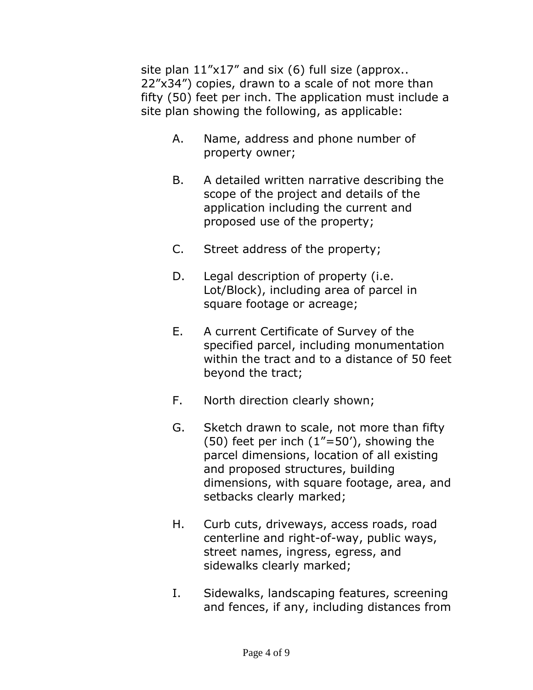site plan  $11"x17"$  and six (6) full size (approx.. 22"x34") copies, drawn to a scale of not more than fifty (50) feet per inch. The application must include a site plan showing the following, as applicable:

- A. Name, address and phone number of property owner;
- B. A detailed written narrative describing the scope of the project and details of the application including the current and proposed use of the property;
- C. Street address of the property;
- D. Legal description of property (i.e. Lot/Block), including area of parcel in square footage or acreage;
- E. A current Certificate of Survey of the specified parcel, including monumentation within the tract and to a distance of 50 feet beyond the tract;
- F. North direction clearly shown;
- G. Sketch drawn to scale, not more than fifty (50) feet per inch  $(1" = 50')$ , showing the parcel dimensions, location of all existing and proposed structures, building dimensions, with square footage, area, and setbacks clearly marked;
- H. Curb cuts, driveways, access roads, road centerline and right-of-way, public ways, street names, ingress, egress, and sidewalks clearly marked;
- I. Sidewalks, landscaping features, screening and fences, if any, including distances from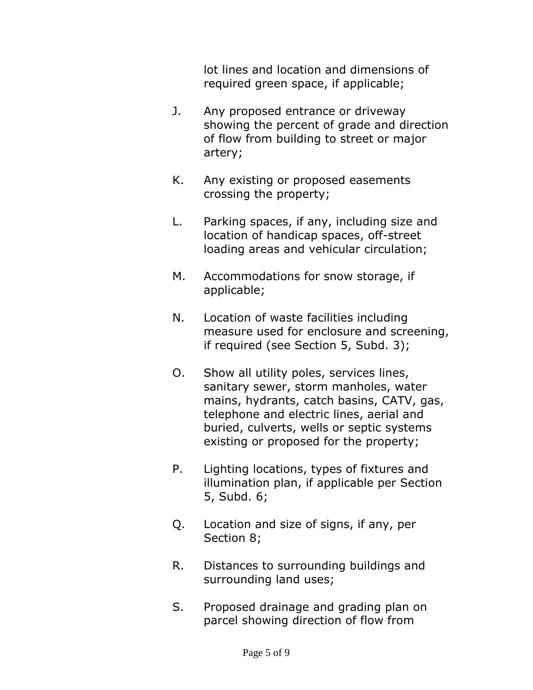lot lines and location and dimensions of required green space, if applicable;

- J. Any proposed entrance or driveway showing the percent of grade and direction of flow from building to street or major artery;
- K. Any existing or proposed easements crossing the property;
- L. Parking spaces, if any, including size and location of handicap spaces, off-street loading areas and vehicular circulation;
- M. Accommodations for snow storage, if applicable;
- N. Location of waste facilities including measure used for enclosure and screening, if required (see Section 5, Subd. 3);
- O. Show all utility poles, services lines, sanitary sewer, storm manholes, water mains, hydrants, catch basins, CATV, gas, telephone and electric lines, aerial and buried, culverts, wells or septic systems existing or proposed for the property;
- P. Lighting locations, types of fixtures and illumination plan, if applicable per Section 5, Subd. 6;
- Q. Location and size of signs, if any, per Section 8;
- R. Distances to surrounding buildings and surrounding land uses;
- S. Proposed drainage and grading plan on parcel showing direction of flow from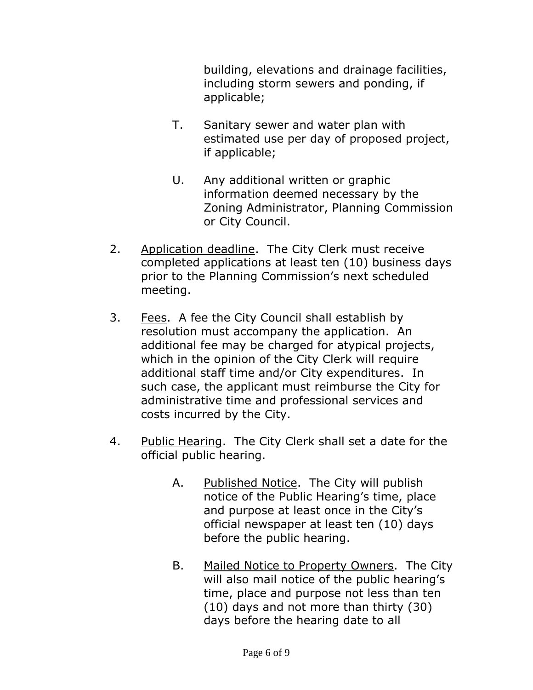building, elevations and drainage facilities, including storm sewers and ponding, if applicable;

- T. Sanitary sewer and water plan with estimated use per day of proposed project, if applicable;
- U. Any additional written or graphic information deemed necessary by the Zoning Administrator, Planning Commission or City Council.
- 2. Application deadline. The City Clerk must receive completed applications at least ten (10) business days prior to the Planning Commission's next scheduled meeting.
- 3. Fees. A fee the City Council shall establish by resolution must accompany the application. An additional fee may be charged for atypical projects, which in the opinion of the City Clerk will require additional staff time and/or City expenditures. In such case, the applicant must reimburse the City for administrative time and professional services and costs incurred by the City.
- 4. Public Hearing. The City Clerk shall set a date for the official public hearing.
	- A. Published Notice. The City will publish notice of the Public Hearing's time, place and purpose at least once in the City's official newspaper at least ten (10) days before the public hearing.
	- B. Mailed Notice to Property Owners. The City will also mail notice of the public hearing's time, place and purpose not less than ten (10) days and not more than thirty (30) days before the hearing date to all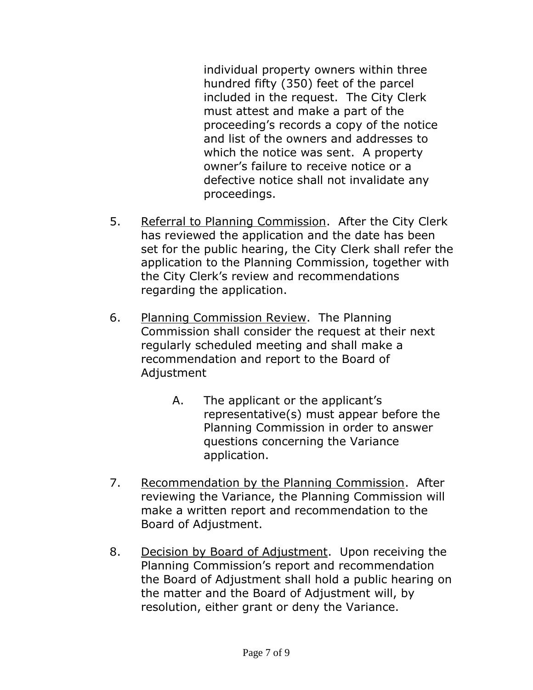individual property owners within three hundred fifty (350) feet of the parcel included in the request. The City Clerk must attest and make a part of the proceeding's records a copy of the notice and list of the owners and addresses to which the notice was sent. A property owner's failure to receive notice or a defective notice shall not invalidate any proceedings.

- 5. Referral to Planning Commission. After the City Clerk has reviewed the application and the date has been set for the public hearing, the City Clerk shall refer the application to the Planning Commission, together with the City Clerk's review and recommendations regarding the application.
- 6. Planning Commission Review. The Planning Commission shall consider the request at their next regularly scheduled meeting and shall make a recommendation and report to the Board of Adjustment
	- A. The applicant or the applicant's representative(s) must appear before the Planning Commission in order to answer questions concerning the Variance application.
- 7. Recommendation by the Planning Commission. After reviewing the Variance, the Planning Commission will make a written report and recommendation to the Board of Adjustment.
- 8. Decision by Board of Adjustment. Upon receiving the Planning Commission's report and recommendation the Board of Adjustment shall hold a public hearing on the matter and the Board of Adjustment will, by resolution, either grant or deny the Variance.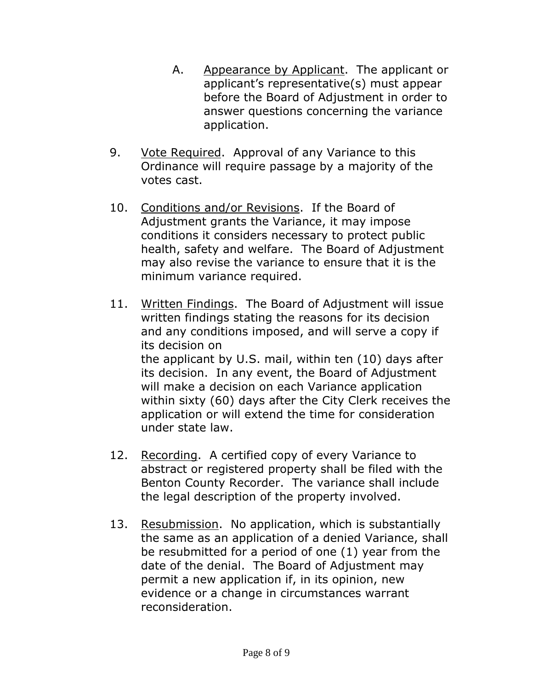- A. Appearance by Applicant. The applicant or applicant's representative(s) must appear before the Board of Adjustment in order to answer questions concerning the variance application.
- 9. Vote Required. Approval of any Variance to this Ordinance will require passage by a majority of the votes cast.
- 10. Conditions and/or Revisions. If the Board of Adjustment grants the Variance, it may impose conditions it considers necessary to protect public health, safety and welfare. The Board of Adjustment may also revise the variance to ensure that it is the minimum variance required.
- 11. Written Findings. The Board of Adjustment will issue written findings stating the reasons for its decision and any conditions imposed, and will serve a copy if its decision on the applicant by U.S. mail, within ten (10) days after its decision. In any event, the Board of Adjustment will make a decision on each Variance application within sixty (60) days after the City Clerk receives the application or will extend the time for consideration under state law.
- 12. Recording. A certified copy of every Variance to abstract or registered property shall be filed with the Benton County Recorder. The variance shall include the legal description of the property involved.
- 13. Resubmission. No application, which is substantially the same as an application of a denied Variance, shall be resubmitted for a period of one (1) year from the date of the denial. The Board of Adjustment may permit a new application if, in its opinion, new evidence or a change in circumstances warrant reconsideration.